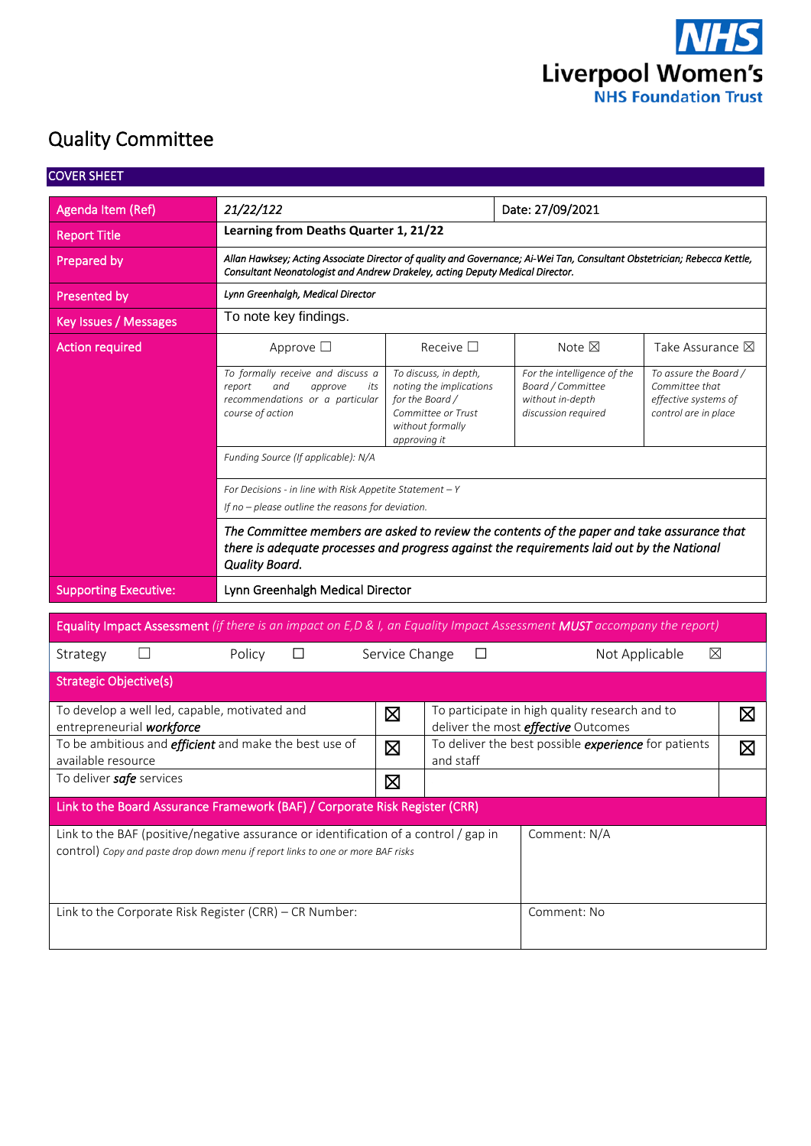

# Quality Committee

| <b>COVER SHEET</b>                                                                  |                                                                                                                                                                                                                    |                                                                                                                               |                                                                                              |                                                                                         |             |  |  |  |  |
|-------------------------------------------------------------------------------------|--------------------------------------------------------------------------------------------------------------------------------------------------------------------------------------------------------------------|-------------------------------------------------------------------------------------------------------------------------------|----------------------------------------------------------------------------------------------|-----------------------------------------------------------------------------------------|-------------|--|--|--|--|
| Agenda Item (Ref)                                                                   | 21/22/122                                                                                                                                                                                                          |                                                                                                                               | Date: 27/09/2021                                                                             |                                                                                         |             |  |  |  |  |
| <b>Report Title</b>                                                                 | Learning from Deaths Quarter 1, 21/22                                                                                                                                                                              |                                                                                                                               |                                                                                              |                                                                                         |             |  |  |  |  |
| Prepared by                                                                         | Allan Hawksey; Acting Associate Director of quality and Governance; Ai-Wei Tan, Consultant Obstetrician; Rebecca Kettle,<br>Consultant Neonatologist and Andrew Drakeley, acting Deputy Medical Director.          |                                                                                                                               |                                                                                              |                                                                                         |             |  |  |  |  |
| <b>Presented by</b>                                                                 | Lynn Greenhalgh, Medical Director                                                                                                                                                                                  |                                                                                                                               |                                                                                              |                                                                                         |             |  |  |  |  |
| Key Issues / Messages                                                               | To note key findings.                                                                                                                                                                                              |                                                                                                                               |                                                                                              |                                                                                         |             |  |  |  |  |
| <b>Action required</b>                                                              | Approve $\square$                                                                                                                                                                                                  | Note ⊠<br>Receive $\square$<br>Take Assurance $\boxtimes$                                                                     |                                                                                              |                                                                                         |             |  |  |  |  |
|                                                                                     | To formally receive and discuss a<br>and<br>report<br>approve<br>its<br>recommendations or a particular<br>course of action                                                                                        | To discuss, in depth,<br>noting the implications<br>for the Board /<br>Committee or Trust<br>without formally<br>approving it | For the intelligence of the<br>Board / Committee<br>without in-depth<br>discussion required  | To assure the Board /<br>Committee that<br>effective systems of<br>control are in place |             |  |  |  |  |
|                                                                                     | Funding Source (If applicable): N/A                                                                                                                                                                                |                                                                                                                               |                                                                                              |                                                                                         |             |  |  |  |  |
|                                                                                     | For Decisions - in line with Risk Appetite Statement $-Y$<br>If no $-p$ lease outline the reasons for deviation.                                                                                                   |                                                                                                                               |                                                                                              |                                                                                         |             |  |  |  |  |
|                                                                                     | The Committee members are asked to review the contents of the paper and take assurance that<br>there is adequate processes and progress against the requirements laid out by the National<br><b>Quality Board.</b> |                                                                                                                               |                                                                                              |                                                                                         |             |  |  |  |  |
| <b>Supporting Executive:</b>                                                        | Lynn Greenhalgh Medical Director                                                                                                                                                                                   |                                                                                                                               |                                                                                              |                                                                                         |             |  |  |  |  |
|                                                                                     | Equality Impact Assessment (if there is an impact on E,D & I, an Equality Impact Assessment MUST accompany the report)                                                                                             |                                                                                                                               |                                                                                              |                                                                                         |             |  |  |  |  |
| $\vert \ \ \vert$<br>Strategy                                                       | Policy<br>$\Box$                                                                                                                                                                                                   | Service Change<br>$\Box$                                                                                                      | Not Applicable                                                                               | $\boxtimes$                                                                             |             |  |  |  |  |
| <b>Strategic Objective(s)</b>                                                       |                                                                                                                                                                                                                    |                                                                                                                               |                                                                                              |                                                                                         |             |  |  |  |  |
| To develop a well led, capable, motivated and<br>entrepreneurial workforce          |                                                                                                                                                                                                                    | $\boxtimes$                                                                                                                   | To participate in high quality research and to<br>deliver the most <i>effective</i> Outcomes |                                                                                         | $\boxtimes$ |  |  |  |  |
| To be ambitious and <i>efficient</i> and make the best use of<br>available resource |                                                                                                                                                                                                                    | 区<br>and staff                                                                                                                | To deliver the best possible experience for patients                                         |                                                                                         | ⊠           |  |  |  |  |
| To deliver safe services                                                            |                                                                                                                                                                                                                    | $\boxtimes$                                                                                                                   |                                                                                              |                                                                                         |             |  |  |  |  |

Link to the Board Assurance Framework (BAF) / Corporate Risk Register (CRR) Link to the BAF (positive/negative assurance or identification of a control / gap in control) *Copy and paste drop down menu if report links to one or more BAF risks* Comment: N/A Link to the Corporate Risk Register (CRR) – CR Number: Comment: No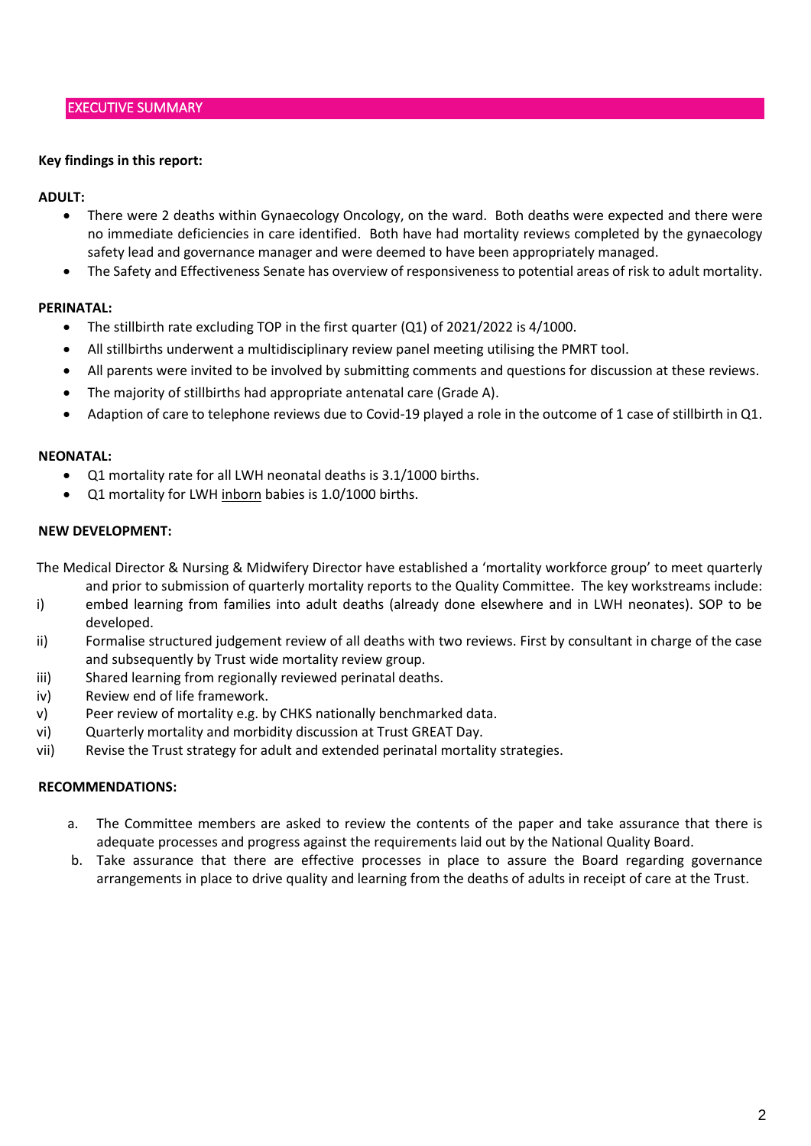#### **Key findings in this report:**

#### **ADULT:**

- There were 2 deaths within Gynaecology Oncology, on the ward. Both deaths were expected and there were no immediate deficiencies in care identified. Both have had mortality reviews completed by the gynaecology safety lead and governance manager and were deemed to have been appropriately managed.
- The Safety and Effectiveness Senate has overview of responsiveness to potential areas of risk to adult mortality.

#### **PERINATAL:**

- The stillbirth rate excluding TOP in the first quarter (Q1) of 2021/2022 is 4/1000.
- All stillbirths underwent a multidisciplinary review panel meeting utilising the PMRT tool.
- All parents were invited to be involved by submitting comments and questions for discussion at these reviews.
- The majority of stillbirths had appropriate antenatal care (Grade A).
- Adaption of care to telephone reviews due to Covid-19 played a role in the outcome of 1 case of stillbirth in Q1.

#### **NEONATAL:**

- Q1 mortality rate for all LWH neonatal deaths is 3.1/1000 births.
- Q1 mortality for LWH inborn babies is 1.0/1000 births.

#### **NEW DEVELOPMENT:**

The Medical Director & Nursing & Midwifery Director have established a 'mortality workforce group' to meet quarterly

- and prior to submission of quarterly mortality reports to the Quality Committee. The key workstreams include: i) embed learning from families into adult deaths (already done elsewhere and in LWH neonates). SOP to be developed.
- ii) Formalise structured judgement review of all deaths with two reviews. First by consultant in charge of the case and subsequently by Trust wide mortality review group.
- iii) Shared learning from regionally reviewed perinatal deaths.
- iv) Review end of life framework.
- v) Peer review of mortality e.g. by CHKS nationally benchmarked data.
- vi) Quarterly mortality and morbidity discussion at Trust GREAT Day.
- vii) Revise the Trust strategy for adult and extended perinatal mortality strategies.

#### **RECOMMENDATIONS:**

- a. The Committee members are asked to review the contents of the paper and take assurance that there is adequate processes and progress against the requirements laid out by the National Quality Board.
- b. Take assurance that there are effective processes in place to assure the Board regarding governance arrangements in place to drive quality and learning from the deaths of adults in receipt of care at the Trust.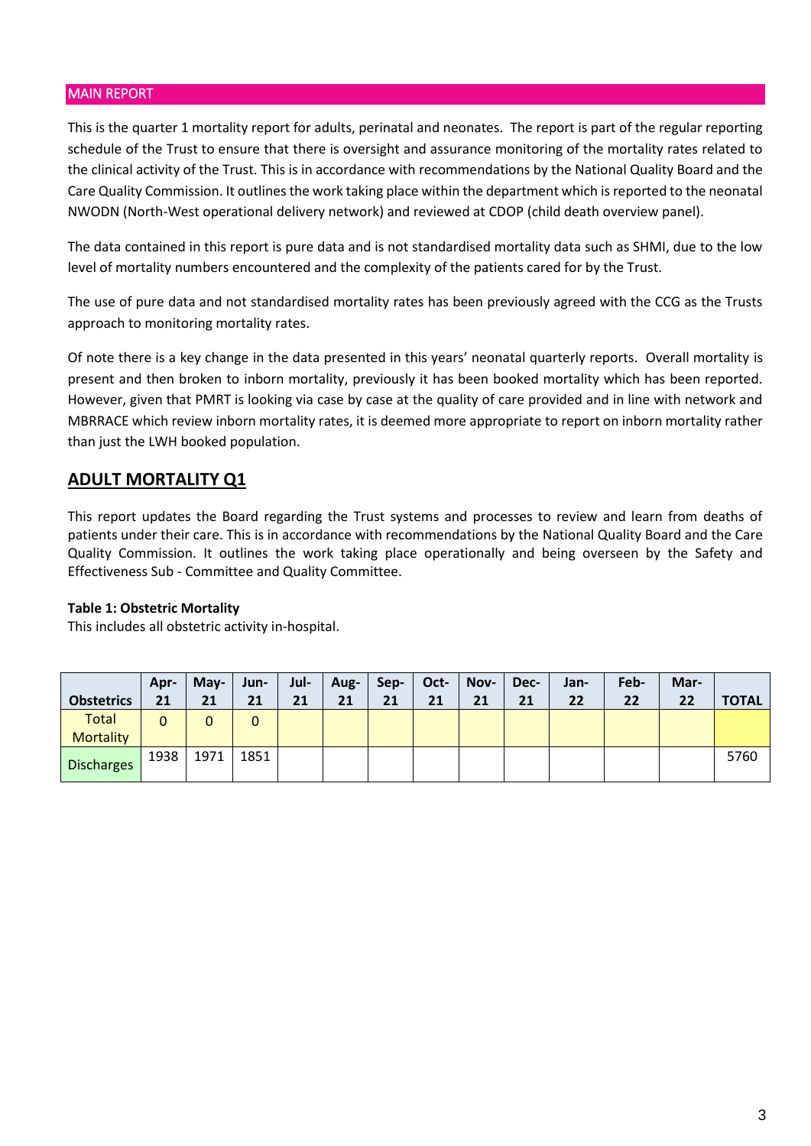### MAIN REPORT

This is the quarter 1 mortality report for adults, perinatal and neonates. The report is part of the regular reporting schedule of the Trust to ensure that there is oversight and assurance monitoring of the mortality rates related to the clinical activity of the Trust. This is in accordance with recommendations by the National Quality Board and the Care Quality Commission. It outlines the work taking place within the department which is reported to the neonatal NWODN (North-West operational delivery network) and reviewed at CDOP (child death overview panel).

The data contained in this report is pure data and is not standardised mortality data such as SHMI, due to the low level of mortality numbers encountered and the complexity of the patients cared for by the Trust.

The use of pure data and not standardised mortality rates has been previously agreed with the CCG as the Trusts approach to monitoring mortality rates.

Of note there is a key change in the data presented in this years' neonatal quarterly reports. Overall mortality is present and then broken to inborn mortality, previously it has been booked mortality which has been reported. However, given that PMRT is looking via case by case at the quality of care provided and in line with network and MBRRACE which review inborn mortality rates, it is deemed more appropriate to report on inborn mortality rather than just the LWH booked population.

# **ADULT MORTALITY Q1**

This report updates the Board regarding the Trust systems and processes to review and learn from deaths of patients under their care. This is in accordance with recommendations by the National Quality Board and the Care Quality Commission. It outlines the work taking place operationally and being overseen by the Safety and Effectiveness Sub - Committee and Quality Committee.

## **Table 1: Obstetric Mortality**

This includes all obstetric activity in-hospital.

|                   | Apr- | May- | Jun- | Jul- | Aug- | Sep- | Oct- | Nov- | Dec- | Jan- | Feb- | Mar- |              |
|-------------------|------|------|------|------|------|------|------|------|------|------|------|------|--------------|
| <b>Obstetrics</b> | 21   | 21   | 21   | 21   | 21   | 21   | 21   | 21   | 21   | 22   | 22   | 22   | <b>TOTAL</b> |
| <b>Total</b>      | 0    |      | 0    |      |      |      |      |      |      |      |      |      |              |
| <b>Mortality</b>  |      |      |      |      |      |      |      |      |      |      |      |      |              |
| <b>Discharges</b> | 1938 | 1971 | 1851 |      |      |      |      |      |      |      |      |      | 5760         |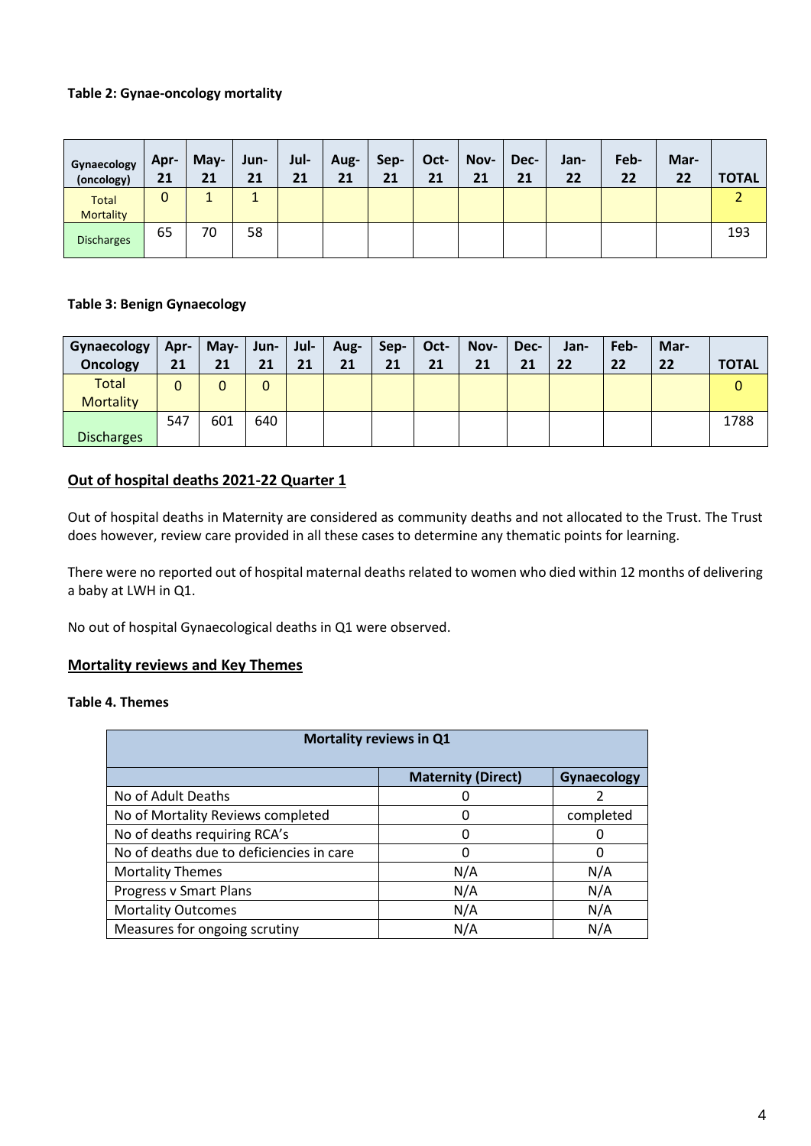## **Table 2: Gynae-oncology mortality**

| Gynaecology<br>(oncology) | Apr-<br>21  | $May-$<br>21 | Jun-<br>21 | Jul-<br>21 | Aug-<br>21 | Sep-<br>21 | Oct-<br>21 | Nov-<br>21 | Dec-<br>21 | Jan-<br>22 | Feb-<br>22 | Mar-<br>22 | <b>TOTAL</b> |
|---------------------------|-------------|--------------|------------|------------|------------|------------|------------|------------|------------|------------|------------|------------|--------------|
| Total<br><b>Mortality</b> | $\mathbf 0$ |              |            |            |            |            |            |            |            |            |            |            |              |
| <b>Discharges</b>         | 65          | 70           | 58         |            |            |            |            |            |            |            |            |            | 193          |

## **Table 3: Benign Gynaecology**

| Gynaecology<br><b>Oncology</b>   | Apr-<br>21 | May-<br>21 | Jun- $ $ Jul-<br>21 | 21 | Aug-<br>21 | Sep-<br>21 | Oct-<br>21 | Nov-<br>21 | Dec- | Jan-<br>22 | Feb-<br>22 | Mar-<br>22 | <b>TOTAL</b> |
|----------------------------------|------------|------------|---------------------|----|------------|------------|------------|------------|------|------------|------------|------------|--------------|
| <b>Total</b><br><b>Mortality</b> |            | 0          | 0                   |    |            |            |            |            |      |            |            |            |              |
| <b>Discharges</b>                | 547        | 601        | 640                 |    |            |            |            |            |      |            |            |            | 1788         |

## **Out of hospital deaths 2021-22 Quarter 1**

Out of hospital deaths in Maternity are considered as community deaths and not allocated to the Trust. The Trust does however, review care provided in all these cases to determine any thematic points for learning.

There were no reported out of hospital maternal deaths related to women who died within 12 months of delivering a baby at LWH in Q1.

No out of hospital Gynaecological deaths in Q1 were observed.

## **Mortality reviews and Key Themes**

## **Table 4. Themes**

| <b>Mortality reviews in Q1</b>           |                           |                    |  |  |  |  |  |  |
|------------------------------------------|---------------------------|--------------------|--|--|--|--|--|--|
|                                          | <b>Maternity (Direct)</b> | <b>Gynaecology</b> |  |  |  |  |  |  |
| No of Adult Deaths                       | 0                         |                    |  |  |  |  |  |  |
| No of Mortality Reviews completed        |                           | completed          |  |  |  |  |  |  |
| No of deaths requiring RCA's             | O                         |                    |  |  |  |  |  |  |
| No of deaths due to deficiencies in care | O                         | 0                  |  |  |  |  |  |  |
| <b>Mortality Themes</b>                  | N/A                       | N/A                |  |  |  |  |  |  |
| Progress v Smart Plans                   | N/A                       | N/A                |  |  |  |  |  |  |
| <b>Mortality Outcomes</b>                | N/A                       | N/A                |  |  |  |  |  |  |
| Measures for ongoing scrutiny            | N/A                       | N/A                |  |  |  |  |  |  |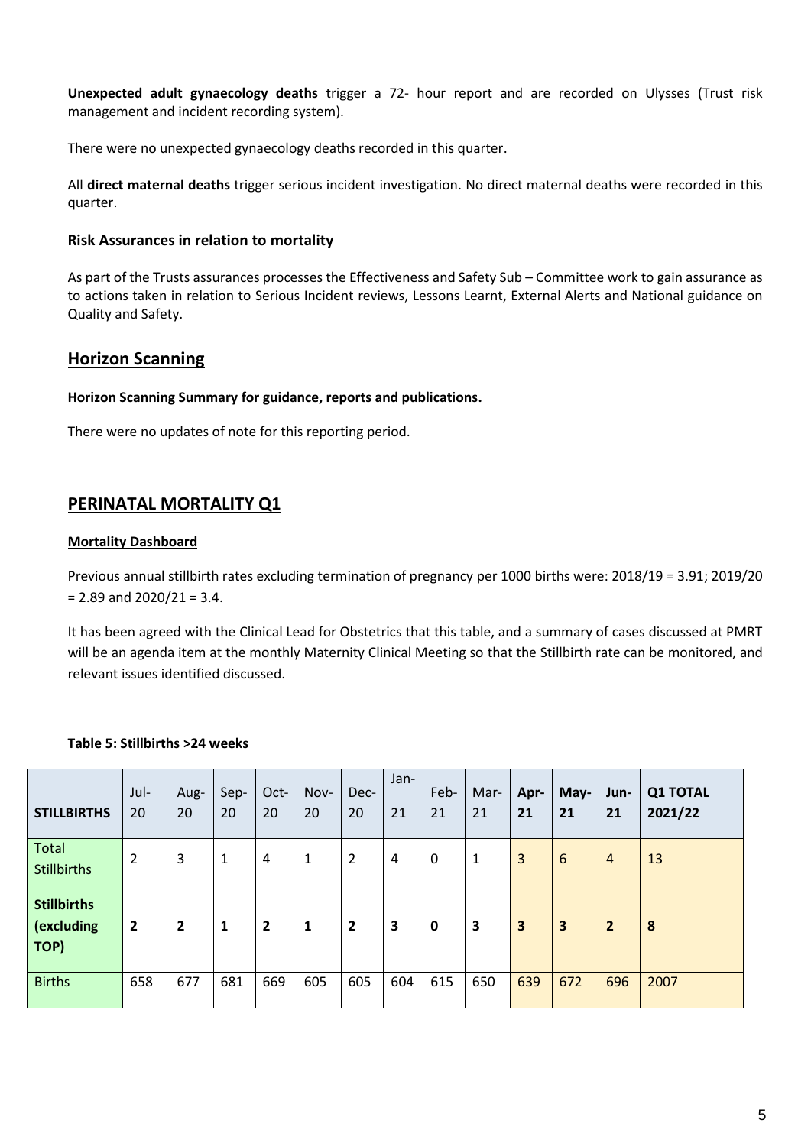**Unexpected adult gynaecology deaths** trigger a 72- hour report and are recorded on Ulysses (Trust risk management and incident recording system).

There were no unexpected gynaecology deaths recorded in this quarter.

All **direct maternal deaths** trigger serious incident investigation. No direct maternal deaths were recorded in this quarter.

### **Risk Assurances in relation to mortality**

As part of the Trusts assurances processes the Effectiveness and Safety Sub – Committee work to gain assurance as to actions taken in relation to Serious Incident reviews, Lessons Learnt, External Alerts and National guidance on Quality and Safety.

## **Horizon Scanning**

#### **Horizon Scanning Summary for guidance, reports and publications.**

There were no updates of note for this reporting period.

# **PERINATAL MORTALITY Q1**

#### **Mortality Dashboard**

Previous annual stillbirth rates excluding termination of pregnancy per 1000 births were: 2018/19 = 3.91; 2019/20  $= 2.89$  and  $2020/21 = 3.4$ .

It has been agreed with the Clinical Lead for Obstetrics that this table, and a summary of cases discussed at PMRT will be an agenda item at the monthly Maternity Clinical Meeting so that the Stillbirth rate can be monitored, and relevant issues identified discussed.

| <b>STILLBIRTHS</b>                       | Jul-<br>20              | Aug-<br>20   | Sep-<br>20 | Oct-<br>20 | Nov-<br>20  | Dec-<br>20     | Jan-<br>21              | Feb-<br>21 | Mar-<br>21 | Apr-<br>21 | May-<br>21              | Jun-<br>21     | <b>Q1 TOTAL</b><br>2021/22 |
|------------------------------------------|-------------------------|--------------|------------|------------|-------------|----------------|-------------------------|------------|------------|------------|-------------------------|----------------|----------------------------|
| Total<br><b>Stillbirths</b>              | $\overline{2}$          | 3            | 1          | 4          | 1           | $\overline{2}$ | 4                       | 0          | 1          | 3          | $6\phantom{1}6$         | $\overline{4}$ | 13                         |
| <b>Stillbirths</b><br>(excluding<br>TOP) | $\overline{\mathbf{2}}$ | $\mathbf{2}$ | 1          | 2          | $\mathbf 1$ | $\overline{2}$ | $\overline{\mathbf{3}}$ | 0          | 3          | 3          | $\overline{\mathbf{3}}$ | $\overline{2}$ | 8                          |
| <b>Births</b>                            | 658                     | 677          | 681        | 669        | 605         | 605            | 604                     | 615        | 650        | 639        | 672                     | 696            | 2007                       |

#### **Table 5: Stillbirths >24 weeks**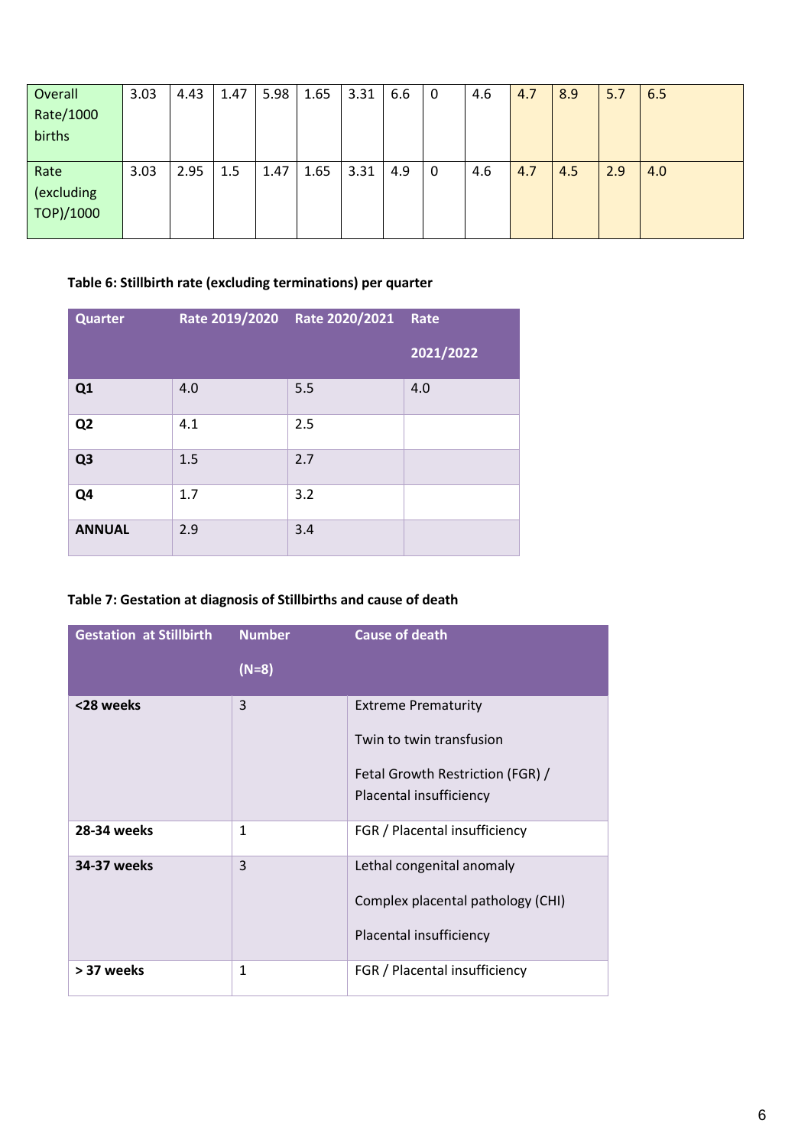| Overall    | 3.03 | 4.43 | 1.47 | 5.98 | 1.65 | 3.31 | 6.6 | $\mathbf 0$ | 4.6 | 4.7 | 8.9 | 5.7 | 6.5 |
|------------|------|------|------|------|------|------|-----|-------------|-----|-----|-----|-----|-----|
| Rate/1000  |      |      |      |      |      |      |     |             |     |     |     |     |     |
| births     |      |      |      |      |      |      |     |             |     |     |     |     |     |
|            |      |      |      |      |      |      |     |             |     |     |     |     |     |
| Rate       | 3.03 | 2.95 | 1.5  | 1.47 | 1.65 | 3.31 | 4.9 | 0           | 4.6 | 4.7 | 4.5 | 2.9 | 4.0 |
| (excluding |      |      |      |      |      |      |     |             |     |     |     |     |     |
| TOP)/1000  |      |      |      |      |      |      |     |             |     |     |     |     |     |
|            |      |      |      |      |      |      |     |             |     |     |     |     |     |

# **Table 6: Stillbirth rate (excluding terminations) per quarter**

| <b>Quarter</b> | Rate 2019/2020 | Rate 2020/2021 | Rate      |
|----------------|----------------|----------------|-----------|
|                |                |                | 2021/2022 |
| Q1             | 4.0            | 5.5            | 4.0       |
| Q <sub>2</sub> | 4.1            | 2.5            |           |
| Q <sub>3</sub> | 1.5            | 2.7            |           |
| Q4             | 1.7            | 3.2            |           |
| <b>ANNUAL</b>  | 2.9            | 3.4            |           |

# **Table 7: Gestation at diagnosis of Stillbirths and cause of death**

| <b>Gestation at Stillbirth</b> | <b>Number</b> | Cause of death                    |
|--------------------------------|---------------|-----------------------------------|
|                                | $(N=8)$       |                                   |
| <28 weeks                      | 3             | <b>Extreme Prematurity</b>        |
|                                |               | Twin to twin transfusion          |
|                                |               | Fetal Growth Restriction (FGR) /  |
|                                |               | Placental insufficiency           |
| 28-34 weeks                    | $\mathbf{1}$  | FGR / Placental insufficiency     |
| 34-37 weeks                    | 3             | Lethal congenital anomaly         |
|                                |               | Complex placental pathology (CHI) |
|                                |               | Placental insufficiency           |
| > 37 weeks                     | 1             | FGR / Placental insufficiency     |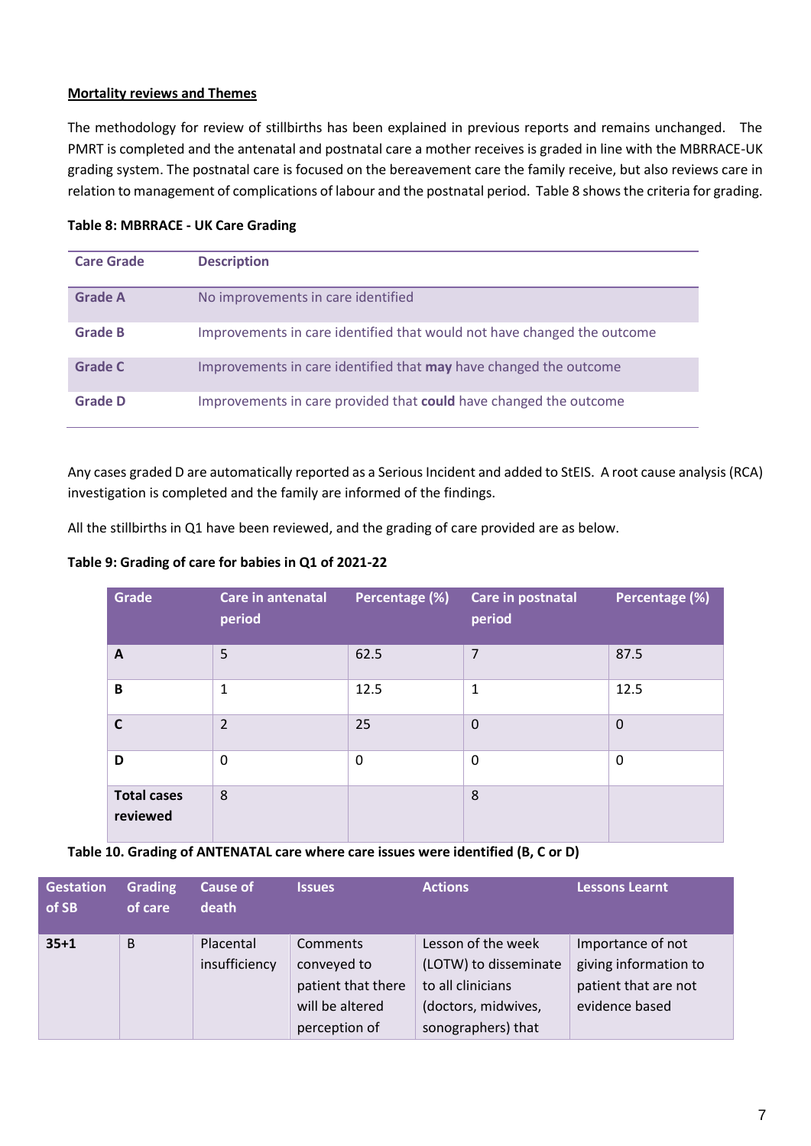## **Mortality reviews and Themes**

The methodology for review of stillbirths has been explained in previous reports and remains unchanged. The PMRT is completed and the antenatal and postnatal care a mother receives is graded in line with the MBRRACE-UK grading system. The postnatal care is focused on the bereavement care the family receive, but also reviews care in relation to management of complications of labour and the postnatal period. Table 8 shows the criteria for grading.

| <b>Care Grade</b> | <b>Description</b>                                                       |
|-------------------|--------------------------------------------------------------------------|
| <b>Grade A</b>    | No improvements in care identified                                       |
| <b>Grade B</b>    | Improvements in care identified that would not have changed the outcome  |
| <b>Grade C</b>    | Improvements in care identified that <b>may</b> have changed the outcome |
| <b>Grade D</b>    | Improvements in care provided that could have changed the outcome        |

#### **Table 8: MBRRACE - UK Care Grading**

Any cases graded D are automatically reported as a Serious Incident and added to StEIS. A root cause analysis (RCA) investigation is completed and the family are informed of the findings.

All the stillbirths in Q1 have been reviewed, and the grading of care provided are as below.

**Table 9: Grading of care for babies in Q1 of 2021-22**

| Grade                          | Care in antenatal<br>period | Percentage (%) | Care in postnatal<br>period | Percentage (%) |
|--------------------------------|-----------------------------|----------------|-----------------------------|----------------|
| A                              | 5                           | 62.5           | $\overline{7}$              | 87.5           |
| B                              | $\mathbf{1}$                | 12.5           | $\mathbf{1}$                | 12.5           |
| $\mathsf{C}$                   | $\overline{2}$              | 25             | $\Omega$                    | $\mathbf 0$    |
| D                              | 0                           | 0              | 0                           | 0              |
| <b>Total cases</b><br>reviewed | 8                           |                | 8                           |                |

**Table 10. Grading of ANTENATAL care where care issues were identified (B, C or D)** 

| <b>Gestation</b><br>of SB | <b>Grading</b><br>of care | <b>Cause of</b><br>death   | <b>Issues</b>                                                                     | <b>Actions</b>                                                                                                | <b>Lessons Learnt</b>                                                                |
|---------------------------|---------------------------|----------------------------|-----------------------------------------------------------------------------------|---------------------------------------------------------------------------------------------------------------|--------------------------------------------------------------------------------------|
| $35 + 1$                  | B                         | Placental<br>insufficiency | Comments<br>conveyed to<br>patient that there<br>will be altered<br>perception of | Lesson of the week<br>(LOTW) to disseminate<br>to all clinicians<br>(doctors, midwives,<br>sonographers) that | Importance of not<br>giving information to<br>patient that are not<br>evidence based |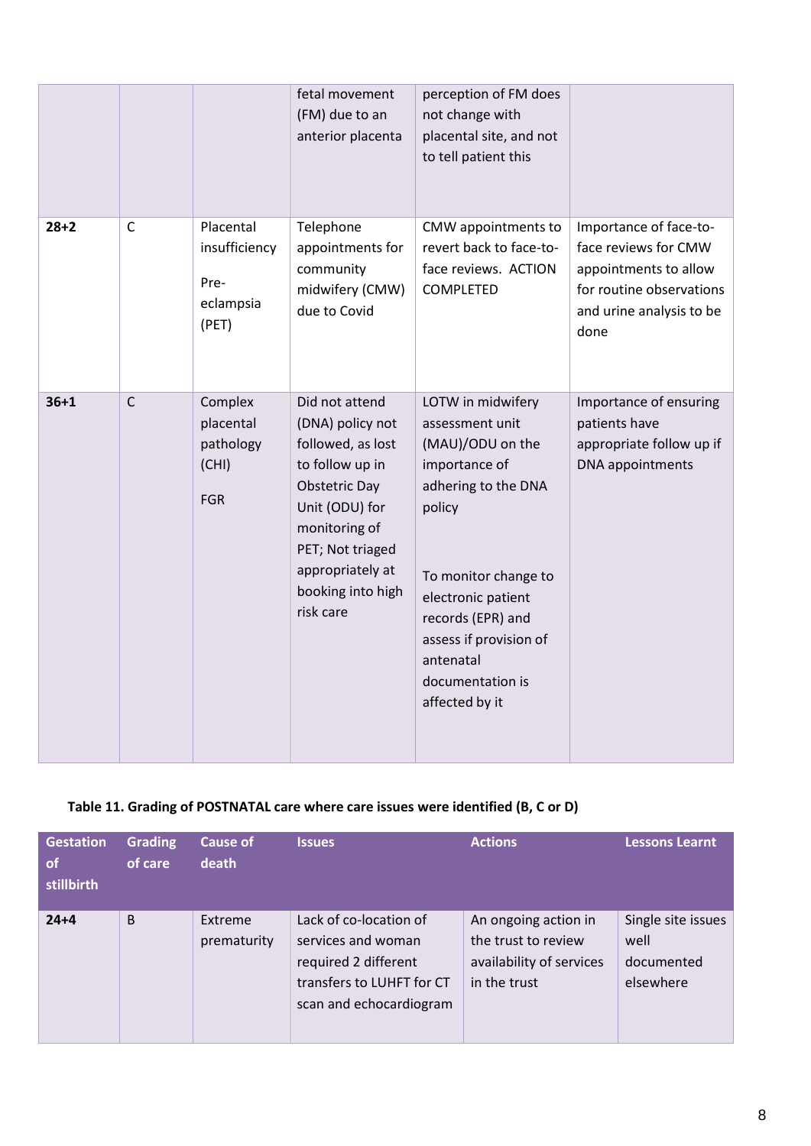|          |              |                                                          | fetal movement<br>(FM) due to an<br>anterior placenta                                                                                                                                                           | perception of FM does<br>not change with<br>placental site, and not<br>to tell patient this                                                                                                                                                                |                                                                                                                                         |
|----------|--------------|----------------------------------------------------------|-----------------------------------------------------------------------------------------------------------------------------------------------------------------------------------------------------------------|------------------------------------------------------------------------------------------------------------------------------------------------------------------------------------------------------------------------------------------------------------|-----------------------------------------------------------------------------------------------------------------------------------------|
| $28 + 2$ | $\mathsf C$  | Placental<br>insufficiency<br>Pre-<br>eclampsia<br>(PET) | Telephone<br>appointments for<br>community<br>midwifery (CMW)<br>due to Covid                                                                                                                                   | CMW appointments to<br>revert back to face-to-<br>face reviews. ACTION<br>COMPLETED                                                                                                                                                                        | Importance of face-to-<br>face reviews for CMW<br>appointments to allow<br>for routine observations<br>and urine analysis to be<br>done |
| $36 + 1$ | $\mathsf{C}$ | Complex<br>placental<br>pathology<br>(CHI)<br><b>FGR</b> | Did not attend<br>(DNA) policy not<br>followed, as lost<br>to follow up in<br><b>Obstetric Day</b><br>Unit (ODU) for<br>monitoring of<br>PET; Not triaged<br>appropriately at<br>booking into high<br>risk care | LOTW in midwifery<br>assessment unit<br>(MAU)/ODU on the<br>importance of<br>adhering to the DNA<br>policy<br>To monitor change to<br>electronic patient<br>records (EPR) and<br>assess if provision of<br>antenatal<br>documentation is<br>affected by it | Importance of ensuring<br>patients have<br>appropriate follow up if<br>DNA appointments                                                 |

# **Table 11. Grading of POSTNATAL care where care issues were identified (B, C or D)**

| <b>Gestation</b><br>of<br>stillbirth | <b>Grading</b><br>of care | <b>Cause of</b><br>death | <b>Issues</b>                                                                                                                | <b>Actions</b>                                                                          | <b>Lessons Learnt</b>                                 |
|--------------------------------------|---------------------------|--------------------------|------------------------------------------------------------------------------------------------------------------------------|-----------------------------------------------------------------------------------------|-------------------------------------------------------|
| $24 + 4$                             | B                         | Extreme<br>prematurity   | Lack of co-location of<br>services and woman<br>required 2 different<br>transfers to LUHFT for CT<br>scan and echocardiogram | An ongoing action in<br>the trust to review<br>availability of services<br>in the trust | Single site issues<br>well<br>documented<br>elsewhere |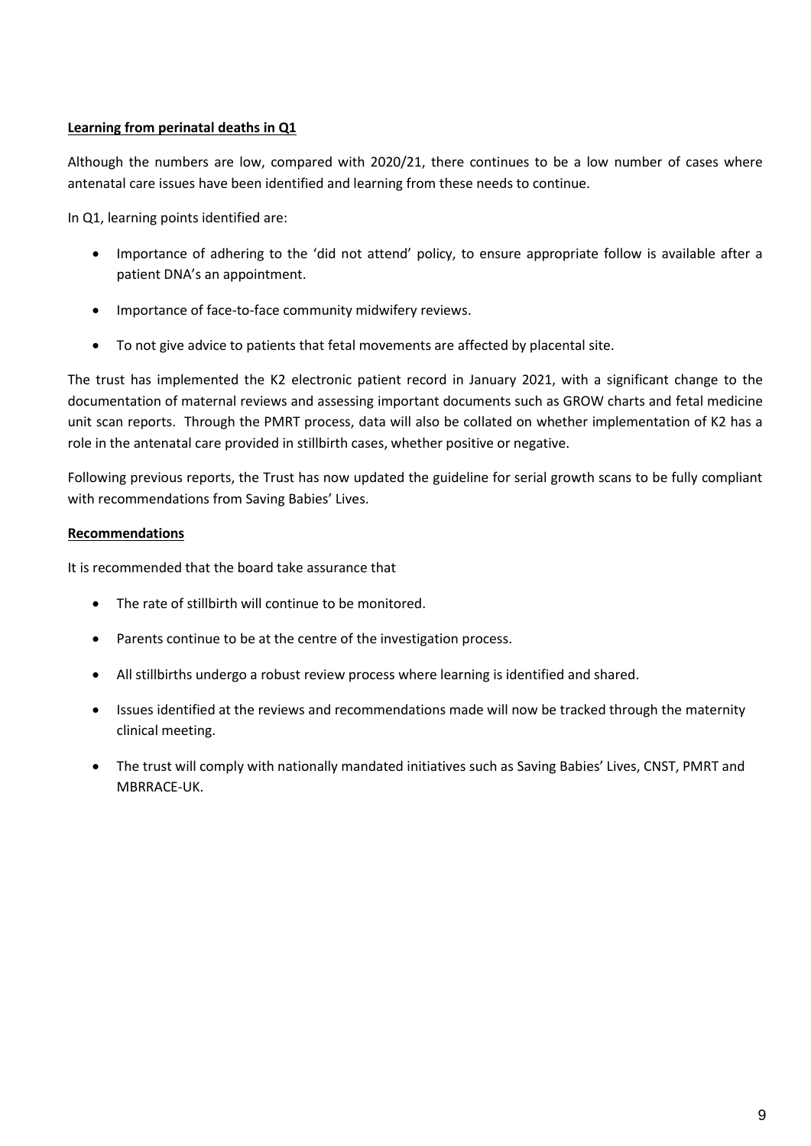## **Learning from perinatal deaths in Q1**

Although the numbers are low, compared with 2020/21, there continues to be a low number of cases where antenatal care issues have been identified and learning from these needs to continue.

In Q1, learning points identified are:

- Importance of adhering to the 'did not attend' policy, to ensure appropriate follow is available after a patient DNA's an appointment.
- Importance of face-to-face community midwifery reviews.
- To not give advice to patients that fetal movements are affected by placental site.

The trust has implemented the K2 electronic patient record in January 2021, with a significant change to the documentation of maternal reviews and assessing important documents such as GROW charts and fetal medicine unit scan reports. Through the PMRT process, data will also be collated on whether implementation of K2 has a role in the antenatal care provided in stillbirth cases, whether positive or negative.

Following previous reports, the Trust has now updated the guideline for serial growth scans to be fully compliant with recommendations from Saving Babies' Lives.

## **Recommendations**

It is recommended that the board take assurance that

- The rate of stillbirth will continue to be monitored.
- Parents continue to be at the centre of the investigation process.
- All stillbirths undergo a robust review process where learning is identified and shared.
- Issues identified at the reviews and recommendations made will now be tracked through the maternity clinical meeting.
- The trust will comply with nationally mandated initiatives such as Saving Babies' Lives, CNST, PMRT and MBRRACE-UK.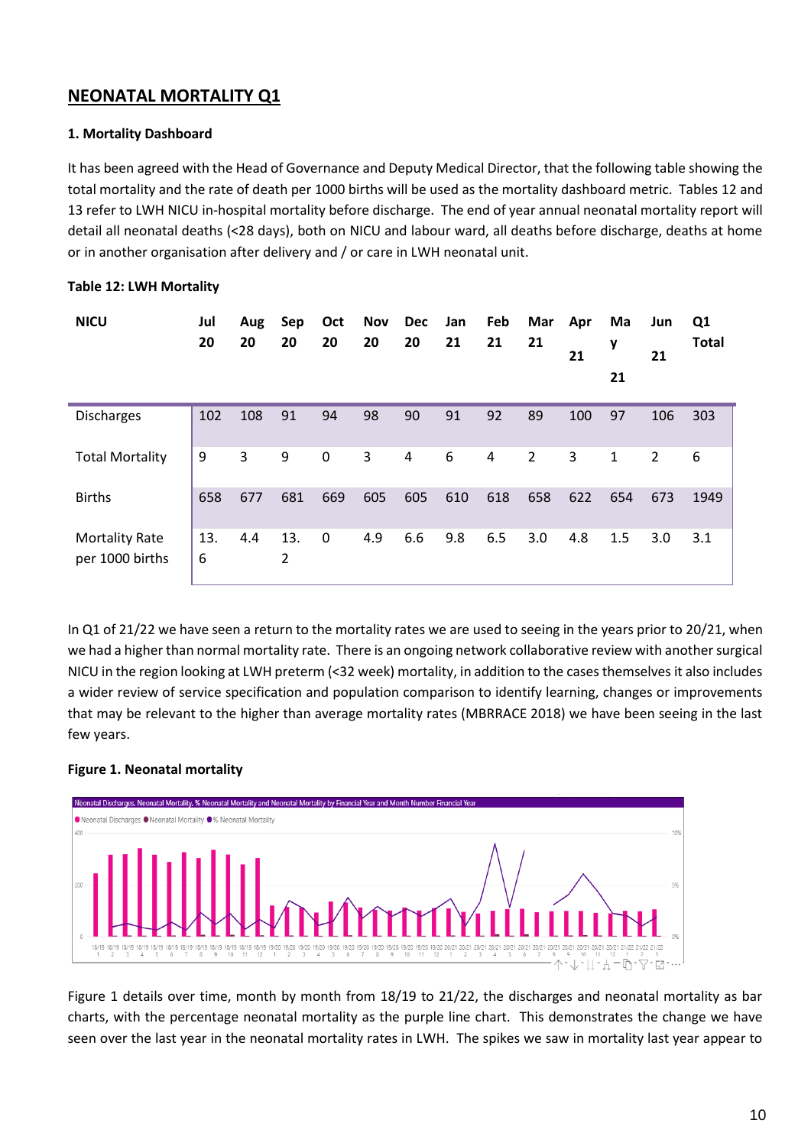# **NEONATAL MORTALITY Q1**

## **1. Mortality Dashboard**

It has been agreed with the Head of Governance and Deputy Medical Director, that the following table showing the total mortality and the rate of death per 1000 births will be used as the mortality dashboard metric. Tables 12 and 13 refer to LWH NICU in-hospital mortality before discharge. The end of year annual neonatal mortality report will detail all neonatal deaths (<28 days), both on NICU and labour ward, all deaths before discharge, deaths at home or in another organisation after delivery and / or care in LWH neonatal unit.

| <b>NICU</b>                              | Jul<br>20 | Aug<br>20 | Sep<br>20 | Oct<br>20   | <b>Nov</b><br>20 | <b>Dec</b><br>20 | Jan<br>21 | Feb<br>21 | Mar<br>21      | Apr<br>21 | Ma<br>у<br>21 | Jun<br>21      | Q1<br><b>Total</b> |
|------------------------------------------|-----------|-----------|-----------|-------------|------------------|------------------|-----------|-----------|----------------|-----------|---------------|----------------|--------------------|
| <b>Discharges</b>                        | 102       | 108       | 91        | 94          | 98               | 90               | 91        | 92        | 89             | 100       | 97            | 106            | 303                |
| <b>Total Mortality</b>                   | 9         | 3         | 9         | $\mathbf 0$ | 3                | 4                | 6         | 4         | $\overline{2}$ | 3         | $\mathbf{1}$  | $\overline{2}$ | 6                  |
| <b>Births</b>                            | 658       | 677       | 681       | 669         | 605              | 605              | 610       | 618       | 658            | 622       | 654           | 673            | 1949               |
| <b>Mortality Rate</b><br>per 1000 births | 13.<br>6  | 4.4       | 13.<br>2  | 0           | 4.9              | 6.6              | 9.8       | 6.5       | 3.0            | 4.8       | 1.5           | 3.0            | 3.1                |

## **Table 12: LWH Mortality**

In Q1 of 21/22 we have seen a return to the mortality rates we are used to seeing in the years prior to 20/21, when we had a higher than normal mortality rate. There is an ongoing network collaborative review with another surgical NICU in the region looking at LWH preterm (<32 week) mortality, in addition to the cases themselves it also includes a wider review of service specification and population comparison to identify learning, changes or improvements that may be relevant to the higher than average mortality rates (MBRRACE 2018) we have been seeing in the last few years.

## **Figure 1. Neonatal mortality**



Figure 1 details over time, month by month from 18/19 to 21/22, the discharges and neonatal mortality as bar charts, with the percentage neonatal mortality as the purple line chart. This demonstrates the change we have seen over the last year in the neonatal mortality rates in LWH. The spikes we saw in mortality last year appear to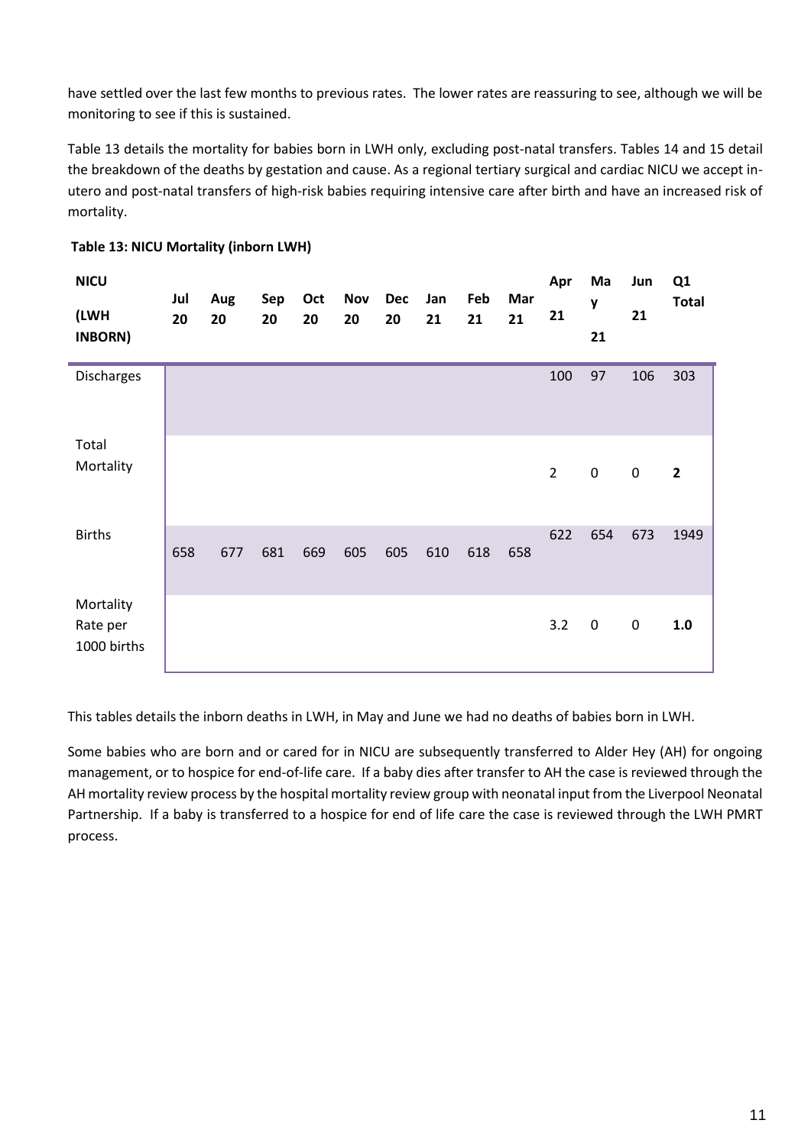have settled over the last few months to previous rates. The lower rates are reassuring to see, although we will be monitoring to see if this is sustained.

Table 13 details the mortality for babies born in LWH only, excluding post-natal transfers. Tables 14 and 15 detail the breakdown of the deaths by gestation and cause. As a regional tertiary surgical and cardiac NICU we accept inutero and post-natal transfers of high-risk babies requiring intensive care after birth and have an increased risk of mortality.

| <b>NICU</b>                          | Jul | Aug | Sep | Oct | <b>Nov</b> | <b>Dec</b> | Jan | Feb | Mar | Apr            | Ma        | Jun       | Q <sub>1</sub> |
|--------------------------------------|-----|-----|-----|-----|------------|------------|-----|-----|-----|----------------|-----------|-----------|----------------|
| (LWH                                 | 20  | 20  | 20  | 20  | 20         | 20         | 21  | 21  | 21  | 21             | y         | 21        | <b>Total</b>   |
| INBORN)                              |     |     |     |     |            |            |     |     |     |                | 21        |           |                |
| Discharges                           |     |     |     |     |            |            |     |     |     | 100            | 97        | 106       | 303            |
| Total                                |     |     |     |     |            |            |     |     |     |                |           |           |                |
| Mortality                            |     |     |     |     |            |            |     |     |     | $\overline{2}$ | $\pmb{0}$ | $\pmb{0}$ | $\mathbf{2}$   |
| <b>Births</b>                        | 658 | 677 | 681 | 669 | 605        | 605        | 610 | 618 | 658 | 622            | 654       | 673       | 1949           |
| Mortality<br>Rate per<br>1000 births |     |     |     |     |            |            |     |     |     | 3.2            | $\pmb{0}$ | $\pmb{0}$ | $1.0\,$        |

#### **Table 13: NICU Mortality (inborn LWH)**

This tables details the inborn deaths in LWH, in May and June we had no deaths of babies born in LWH.

Some babies who are born and or cared for in NICU are subsequently transferred to Alder Hey (AH) for ongoing management, or to hospice for end-of-life care. If a baby dies after transfer to AH the case is reviewed through the AH mortality review process by the hospital mortality review group with neonatal input from the Liverpool Neonatal Partnership. If a baby is transferred to a hospice for end of life care the case is reviewed through the LWH PMRT process.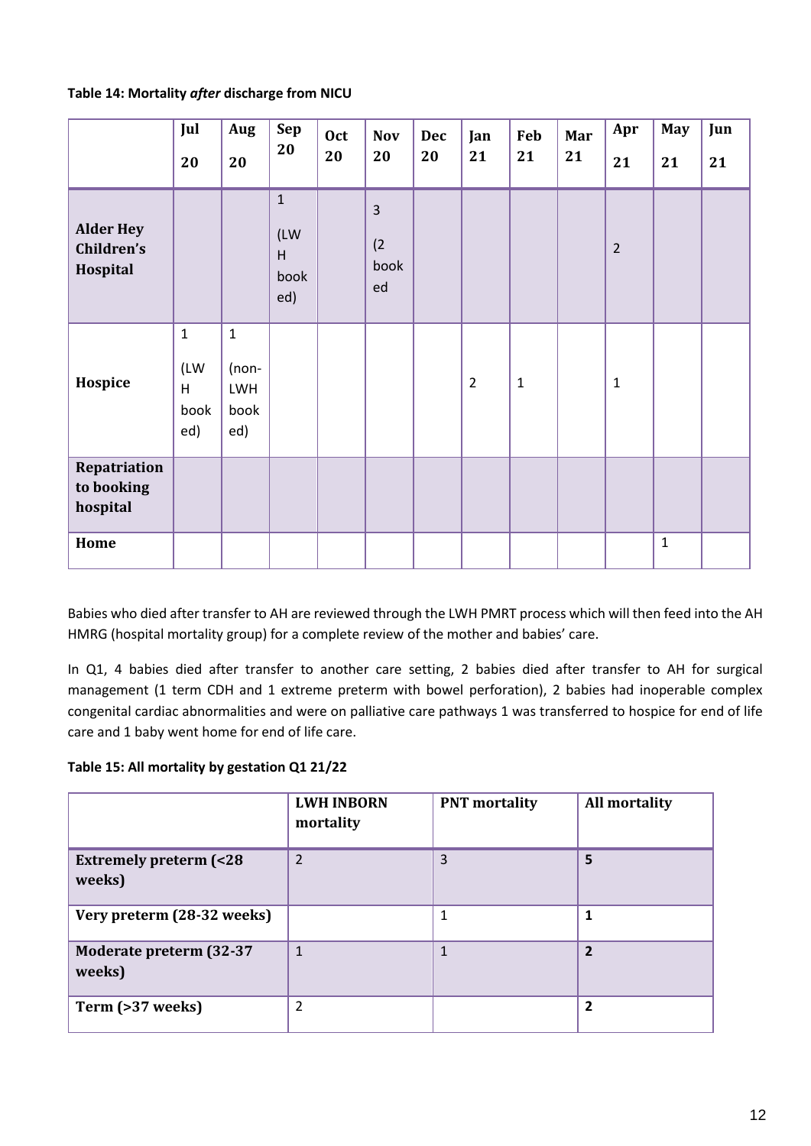## **Table 14: Mortality** *after* **discharge from NICU**

|                                            | Jul<br>20                               | Aug<br>20                                          | <b>Sep</b><br>20                        | <b>Oct</b><br>20 | <b>Nov</b><br>20                             | <b>Dec</b><br>20 | Jan<br>21      | Feb<br>21    | Mar<br>21 | Apr<br>21      | <b>May</b><br>21 | Jun<br>21 |
|--------------------------------------------|-----------------------------------------|----------------------------------------------------|-----------------------------------------|------------------|----------------------------------------------|------------------|----------------|--------------|-----------|----------------|------------------|-----------|
| <b>Alder Hey</b><br>Children's<br>Hospital |                                         |                                                    | $\mathbf{1}$<br>(LW<br>H<br>book<br>ed) |                  | $\overline{\mathbf{3}}$<br>(2)<br>book<br>ed |                  |                |              |           | $\overline{2}$ |                  |           |
| Hospice                                    | $\mathbf{1}$<br>(LW<br>H<br>book<br>ed) | $\mathbf{1}$<br>(non-<br><b>LWH</b><br>book<br>ed) |                                         |                  |                                              |                  | $\overline{2}$ | $\mathbf{1}$ |           | $\mathbf 1$    |                  |           |
| Repatriation<br>to booking<br>hospital     |                                         |                                                    |                                         |                  |                                              |                  |                |              |           |                |                  |           |
| Home                                       |                                         |                                                    |                                         |                  |                                              |                  |                |              |           |                | $\mathbf{1}$     |           |

Babies who died after transfer to AH are reviewed through the LWH PMRT process which will then feed into the AH HMRG (hospital mortality group) for a complete review of the mother and babies' care.

In Q1, 4 babies died after transfer to another care setting, 2 babies died after transfer to AH for surgical management (1 term CDH and 1 extreme preterm with bowel perforation), 2 babies had inoperable complex congenital cardiac abnormalities and were on palliative care pathways 1 was transferred to hospice for end of life care and 1 baby went home for end of life care.

## **Table 15: All mortality by gestation Q1 21/22**

|                                            | <b>LWH INBORN</b><br>mortality | <b>PNT</b> mortality | <b>All mortality</b> |
|--------------------------------------------|--------------------------------|----------------------|----------------------|
| <b>Extremely preterm (&lt;28</b><br>weeks) | $\overline{2}$                 | 3                    | 5                    |
| Very preterm (28-32 weeks)                 |                                |                      | 1                    |
| Moderate preterm (32-37<br>weeks)          | $\mathbf{1}$                   | 1                    | $\overline{2}$       |
| Term (>37 weeks)                           | $\overline{\phantom{a}}$       |                      | $\overline{2}$       |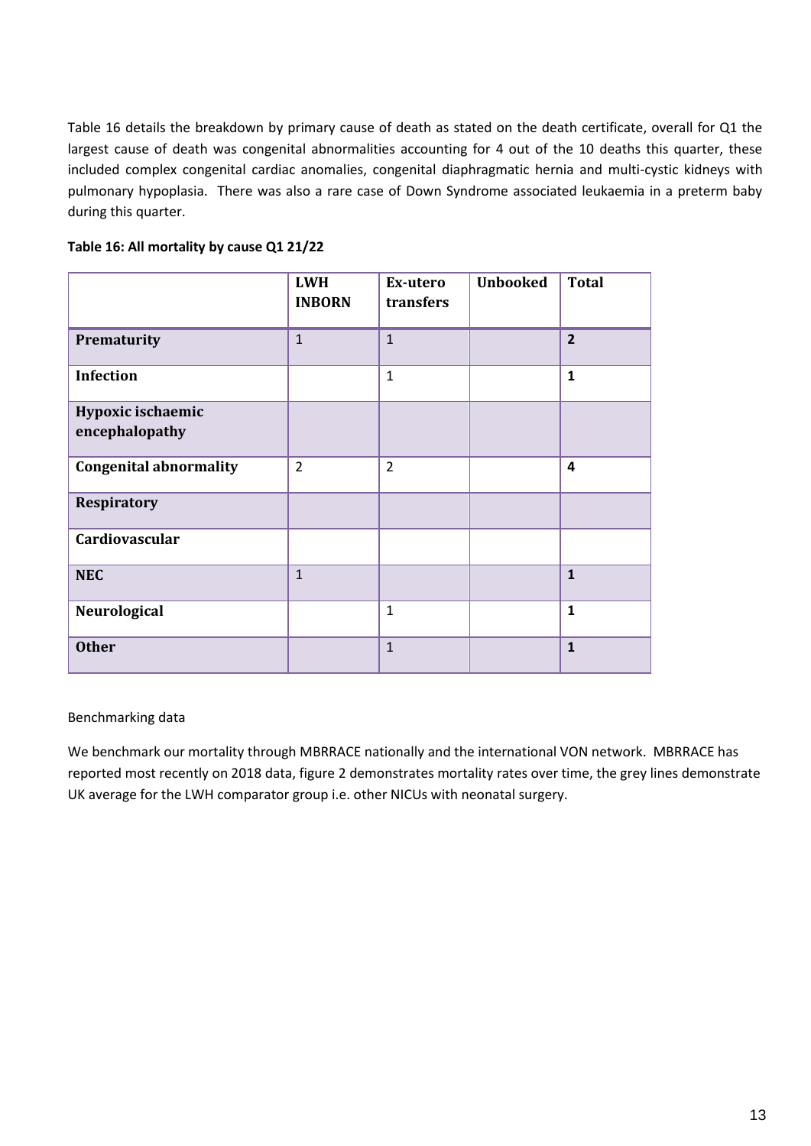Table 16 details the breakdown by primary cause of death as stated on the death certificate, overall for Q1 the largest cause of death was congenital abnormalities accounting for 4 out of the 10 deaths this quarter, these included complex congenital cardiac anomalies, congenital diaphragmatic hernia and multi-cystic kidneys with pulmonary hypoplasia. There was also a rare case of Down Syndrome associated leukaemia in a preterm baby during this quarter.

## **Table 16: All mortality by cause Q1 21/22**

|                                     | <b>LWH</b><br><b>INBORN</b> | Ex-utero<br>transfers | <b>Unbooked</b> | <b>Total</b>   |
|-------------------------------------|-----------------------------|-----------------------|-----------------|----------------|
| Prematurity                         | $\mathbf{1}$                | $\mathbf{1}$          |                 | $\overline{2}$ |
| <b>Infection</b>                    |                             | $\mathbf{1}$          |                 | $\mathbf{1}$   |
| Hypoxic ischaemic<br>encephalopathy |                             |                       |                 |                |
| <b>Congenital abnormality</b>       | $\overline{2}$              | $\overline{2}$        |                 | $\overline{a}$ |
| <b>Respiratory</b>                  |                             |                       |                 |                |
| Cardiovascular                      |                             |                       |                 |                |
| <b>NEC</b>                          | $\mathbf{1}$                |                       |                 | $\mathbf{1}$   |
| Neurological                        |                             | $\mathbf{1}$          |                 | $\mathbf{1}$   |
| <b>Other</b>                        |                             | $\mathbf{1}$          |                 | $\mathbf{1}$   |

## Benchmarking data

We benchmark our mortality through MBRRACE nationally and the international VON network. MBRRACE has reported most recently on 2018 data, figure 2 demonstrates mortality rates over time, the grey lines demonstrate UK average for the LWH comparator group i.e. other NICUs with neonatal surgery.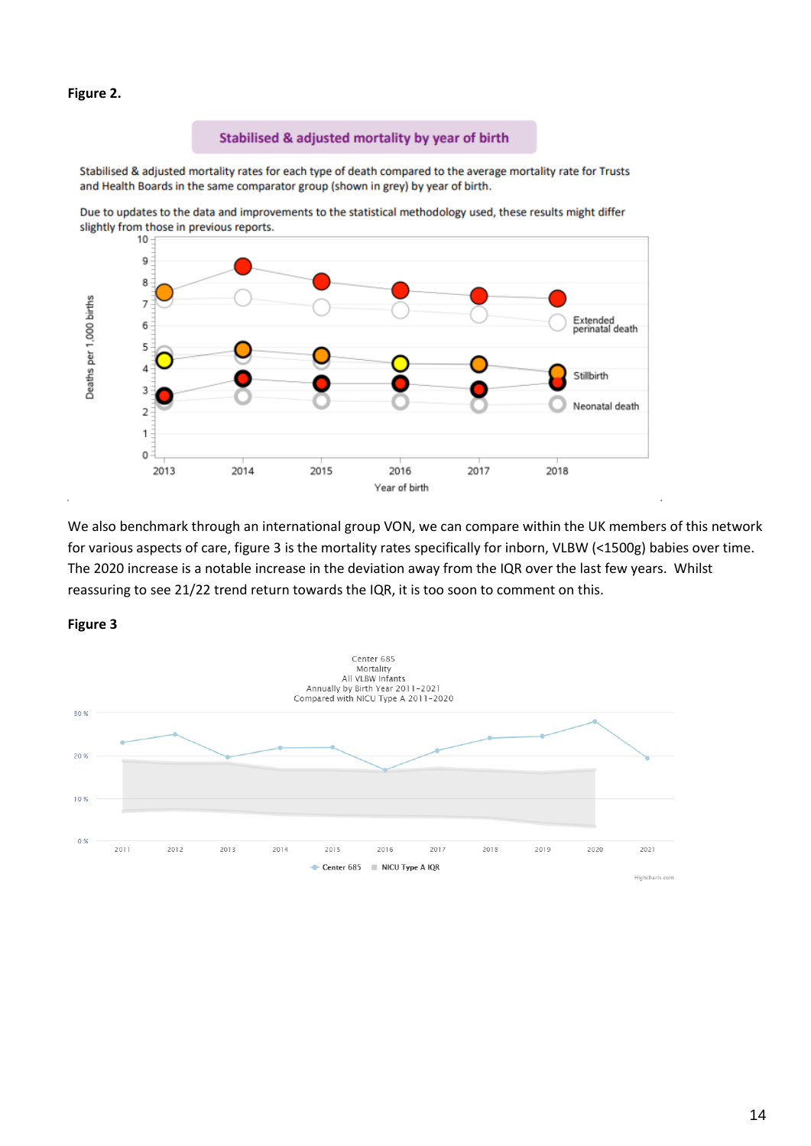### **Figure 2.**

#### Stabilised & adjusted mortality by year of birth

Stabilised & adjusted mortality rates for each type of death compared to the average mortality rate for Trusts and Health Boards in the same comparator group (shown in grey) by year of birth.

Due to updates to the data and improvements to the statistical methodology used, these results might differ slightly from those in previous reports.



We also benchmark through an international group VON, we can compare within the UK members of this network for various aspects of care, figure 3 is the mortality rates specifically for inborn, VLBW (<1500g) babies over time. The 2020 increase is a notable increase in the deviation away from the IQR over the last few years. Whilst reassuring to see 21/22 trend return towards the IQR, it is too soon to comment on this.

#### **Figure 3**

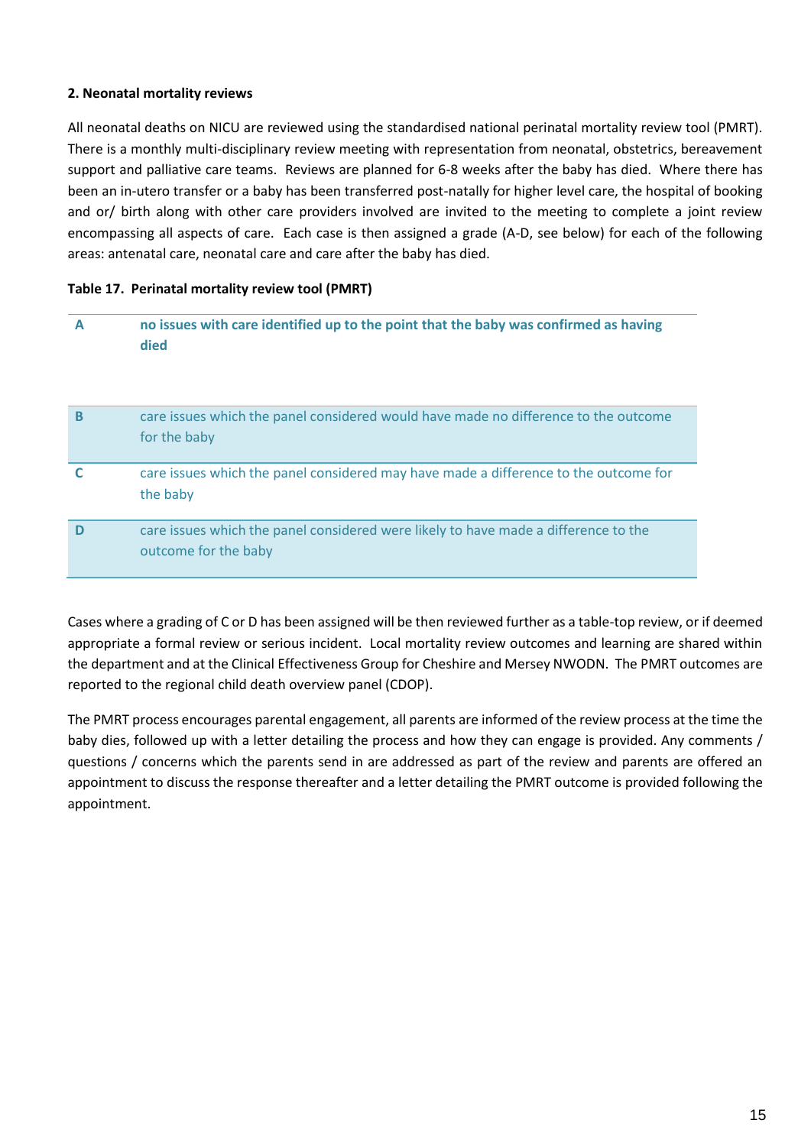## **2. Neonatal mortality reviews**

All neonatal deaths on NICU are reviewed using the standardised national perinatal mortality review tool (PMRT). There is a monthly multi-disciplinary review meeting with representation from neonatal, obstetrics, bereavement support and palliative care teams. Reviews are planned for 6-8 weeks after the baby has died. Where there has been an in-utero transfer or a baby has been transferred post-natally for higher level care, the hospital of booking and or/ birth along with other care providers involved are invited to the meeting to complete a joint review encompassing all aspects of care. Each case is then assigned a grade (A-D, see below) for each of the following areas: antenatal care, neonatal care and care after the baby has died.

#### **Table 17. Perinatal mortality review tool (PMRT)**

|   | no issues with care identified up to the point that the baby was confirmed as having<br>died                |
|---|-------------------------------------------------------------------------------------------------------------|
| B | care issues which the panel considered would have made no difference to the outcome<br>for the baby         |
|   | care issues which the panel considered may have made a difference to the outcome for<br>the baby            |
| D | care issues which the panel considered were likely to have made a difference to the<br>outcome for the baby |

Cases where a grading of C or D has been assigned will be then reviewed further as a table-top review, or if deemed appropriate a formal review or serious incident. Local mortality review outcomes and learning are shared within the department and at the Clinical Effectiveness Group for Cheshire and Mersey NWODN. The PMRT outcomes are reported to the regional child death overview panel (CDOP).

The PMRT process encourages parental engagement, all parents are informed of the review process at the time the baby dies, followed up with a letter detailing the process and how they can engage is provided. Any comments / questions / concerns which the parents send in are addressed as part of the review and parents are offered an appointment to discuss the response thereafter and a letter detailing the PMRT outcome is provided following the appointment.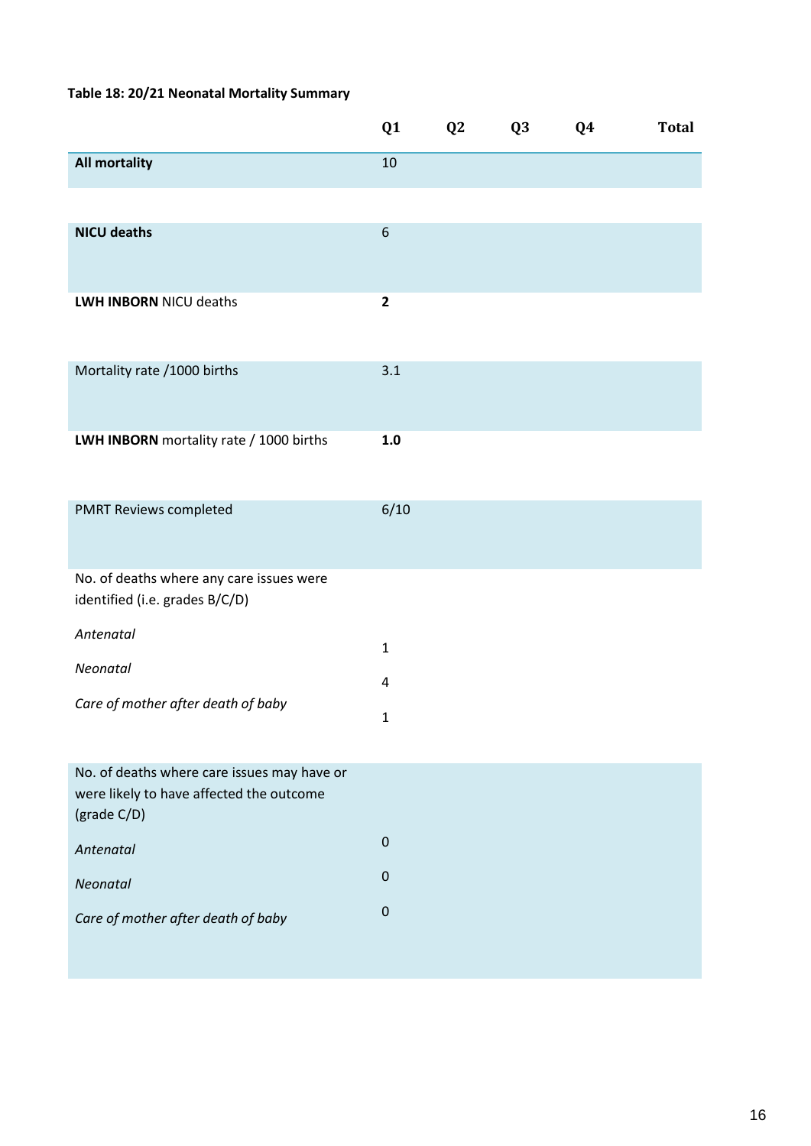# **Table 18: 20/21 Neonatal Mortality Summary**

|                                                                                                        | Q <sub>1</sub>   | Q <sub>2</sub> | Q <sub>3</sub> | Q4 | <b>Total</b> |
|--------------------------------------------------------------------------------------------------------|------------------|----------------|----------------|----|--------------|
| <b>All mortality</b>                                                                                   | 10               |                |                |    |              |
|                                                                                                        |                  |                |                |    |              |
| <b>NICU deaths</b>                                                                                     | $\sqrt{6}$       |                |                |    |              |
| LWH INBORN NICU deaths                                                                                 | $\mathbf{2}$     |                |                |    |              |
| Mortality rate /1000 births                                                                            | 3.1              |                |                |    |              |
| LWH INBORN mortality rate / 1000 births                                                                | $1.0\,$          |                |                |    |              |
| PMRT Reviews completed                                                                                 | 6/10             |                |                |    |              |
| No. of deaths where any care issues were<br>identified (i.e. grades B/C/D)                             |                  |                |                |    |              |
| Antenatal                                                                                              | $\mathbf{1}$     |                |                |    |              |
| Neonatal                                                                                               | 4                |                |                |    |              |
| Care of mother after death of baby                                                                     | $\mathbf 1$      |                |                |    |              |
| No. of deaths where care issues may have or<br>were likely to have affected the outcome<br>(grade C/D) |                  |                |                |    |              |
| Antenatal                                                                                              | $\boldsymbol{0}$ |                |                |    |              |
| Neonatal                                                                                               | $\mathbf 0$      |                |                |    |              |
| Care of mother after death of baby                                                                     | $\boldsymbol{0}$ |                |                |    |              |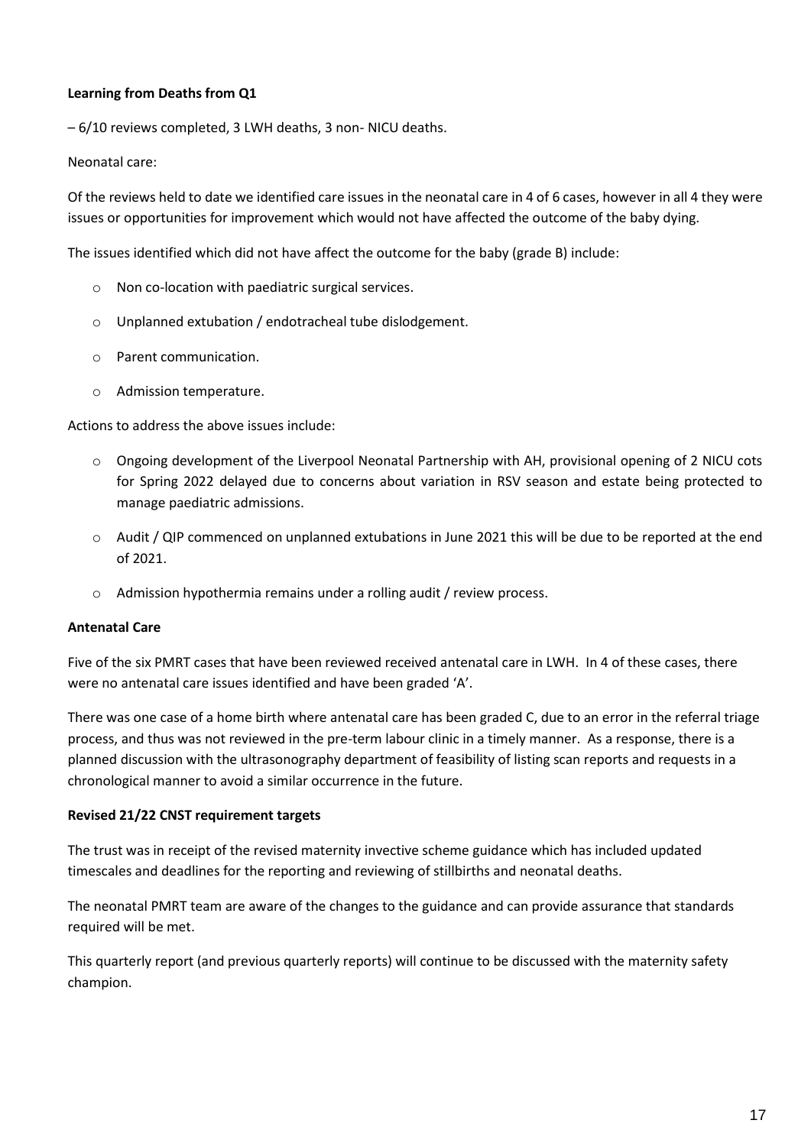## **Learning from Deaths from Q1**

– 6/10 reviews completed, 3 LWH deaths, 3 non- NICU deaths.

Neonatal care:

Of the reviews held to date we identified care issues in the neonatal care in 4 of 6 cases, however in all 4 they were issues or opportunities for improvement which would not have affected the outcome of the baby dying.

The issues identified which did not have affect the outcome for the baby (grade B) include:

- o Non co-location with paediatric surgical services.
- o Unplanned extubation / endotracheal tube dislodgement.
- o Parent communication.
- o Admission temperature.

Actions to address the above issues include:

- o Ongoing development of the Liverpool Neonatal Partnership with AH, provisional opening of 2 NICU cots for Spring 2022 delayed due to concerns about variation in RSV season and estate being protected to manage paediatric admissions.
- o Audit / QIP commenced on unplanned extubations in June 2021 this will be due to be reported at the end of 2021.
- o Admission hypothermia remains under a rolling audit / review process.

#### **Antenatal Care**

Five of the six PMRT cases that have been reviewed received antenatal care in LWH. In 4 of these cases, there were no antenatal care issues identified and have been graded 'A'.

There was one case of a home birth where antenatal care has been graded C, due to an error in the referral triage process, and thus was not reviewed in the pre-term labour clinic in a timely manner. As a response, there is a planned discussion with the ultrasonography department of feasibility of listing scan reports and requests in a chronological manner to avoid a similar occurrence in the future.

#### **Revised 21/22 CNST requirement targets**

The trust was in receipt of the revised maternity invective scheme guidance which has included updated timescales and deadlines for the reporting and reviewing of stillbirths and neonatal deaths.

The neonatal PMRT team are aware of the changes to the guidance and can provide assurance that standards required will be met.

This quarterly report (and previous quarterly reports) will continue to be discussed with the maternity safety champion.